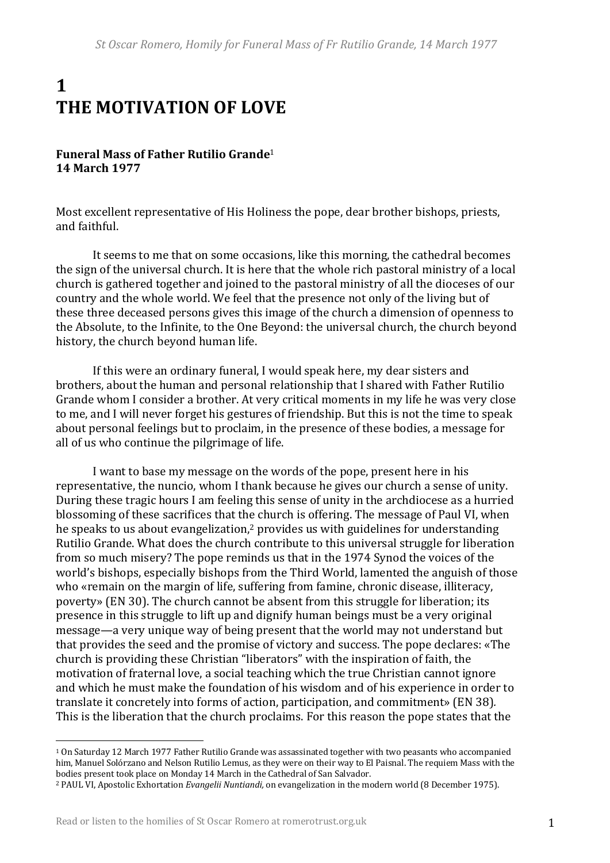# **1 THE MOTIVATION OF LOVE**

## **Funeral Mass of Father Rutilio Grande**<sup>1</sup> **14 March 1977**

Most excellent representative of His Holiness the pope, dear brother bishops, priests, and faithful.

It seems to me that on some occasions, like this morning, the cathedral becomes the sign of the universal church. It is here that the whole rich pastoral ministry of a local church is gathered together and joined to the pastoral ministry of all the dioceses of our country and the whole world. We feel that the presence not only of the living but of these three deceased persons gives this image of the church a dimension of openness to the Absolute, to the Infinite, to the One Beyond: the universal church, the church beyond history, the church beyond human life.

If this were an ordinary funeral, I would speak here, my dear sisters and brothers, about the human and personal relationship that I shared with Father Rutilio Grande whom I consider a brother. At very critical moments in my life he was very close to me, and I will never forget his gestures of friendship. But this is not the time to speak about personal feelings but to proclaim, in the presence of these bodies, a message for all of us who continue the pilgrimage of life.

I want to base my message on the words of the pope, present here in his representative, the nuncio, whom I thank because he gives our church a sense of unity. During these tragic hours I am feeling this sense of unity in the archdiocese as a hurried blossoming of these sacrifices that the church is offering. The message of Paul VI, when he speaks to us about evangelization,<sup>2</sup> provides us with guidelines for understanding Rutilio Grande. What does the church contribute to this universal struggle for liberation from so much misery? The pope reminds us that in the 1974 Synod the voices of the world's bishops, especially bishops from the Third World, lamented the anguish of those who «remain on the margin of life, suffering from famine, chronic disease, illiteracy, poverty» (EN 30). The church cannot be absent from this struggle for liberation; its presence in this struggle to lift up and dignify human beings must be a very original message—a very unique way of being present that the world may not understand but that provides the seed and the promise of victory and success. The pope declares: «The church is providing these Christian "liberators" with the inspiration of faith, the motivation of fraternal love, a social teaching which the true Christian cannot ignore and which he must make the foundation of his wisdom and of his experience in order to translate it concretely into forms of action, participation, and commitment» (EN 38). This is the liberation that the church proclaims. For this reason the pope states that the

 $\overline{a}$ 

<sup>&</sup>lt;sup>1</sup> On Saturday 12 March 1977 Father Rutilio Grande was assassinated together with two peasants who accompanied him, Manuel Solórzano and Nelson Rutilio Lemus, as they were on their way to El Paisnal. The requiem Mass with the bodies present took place on Monday 14 March in the Cathedral of San Salvador.

<sup>&</sup>lt;sup>2</sup> PAUL VI, Apostolic Exhortation *Evangelii Nuntiandi*, on evangelization in the modern world (8 December 1975).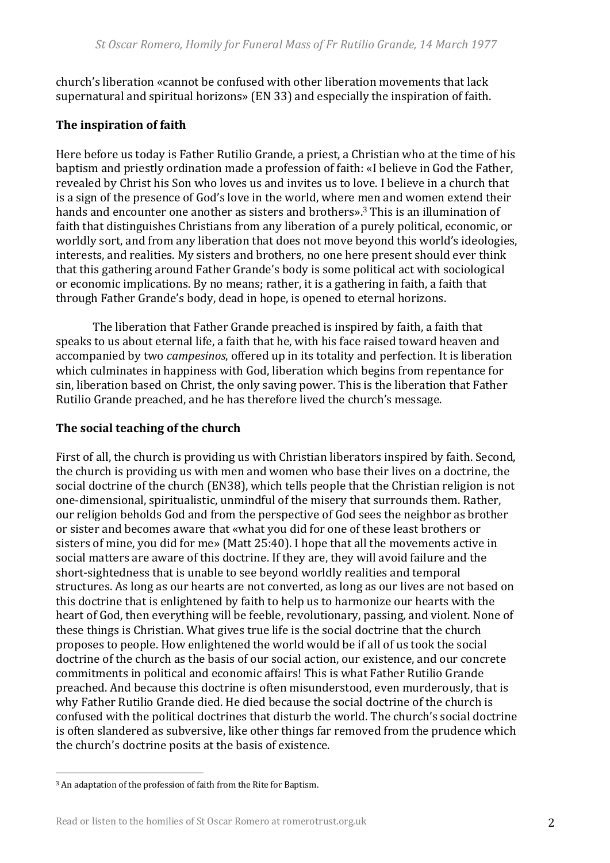church's liberation «cannot be confused with other liberation movements that lack supernatural and spiritual horizons» (EN 33) and especially the inspiration of faith.

# **The inspiration of faith**

Here before us today is Father Rutilio Grande, a priest, a Christian who at the time of his baptism and priestly ordination made a profession of faith: «I believe in God the Father, revealed by Christ his Son who loves us and invites us to love. I believe in a church that is a sign of the presence of God's love in the world, where men and women extend their hands and encounter one another as sisters and brothers».<sup>3</sup> This is an illumination of faith that distinguishes Christians from any liberation of a purely political, economic, or worldly sort, and from any liberation that does not move beyond this world's ideologies, interests, and realities. My sisters and brothers, no one here present should ever think that this gathering around Father Grande's body is some political act with sociological or economic implications. By no means; rather, it is a gathering in faith, a faith that through Father Grande's body, dead in hope, is opened to eternal horizons.

The liberation that Father Grande preached is inspired by faith, a faith that speaks to us about eternal life, a faith that he, with his face raised toward heaven and accompanied by two *campesinos*, offered up in its totality and perfection. It is liberation which culminates in happiness with God, liberation which begins from repentance for sin, liberation based on Christ, the only saving power. This is the liberation that Father Rutilio Grande preached, and he has therefore lived the church's message.

## The social teaching of the church

First of all, the church is providing us with Christian liberators inspired by faith. Second, the church is providing us with men and women who base their lives on a doctrine, the social doctrine of the church (EN38), which tells people that the Christian religion is not one-dimensional, spiritualistic, unmindful of the misery that surrounds them. Rather, our religion beholds God and from the perspective of God sees the neighbor as brother or sister and becomes aware that «what you did for one of these least brothers or sisters of mine, you did for me» (Matt 25:40). I hope that all the movements active in social matters are aware of this doctrine. If they are, they will avoid failure and the short-sightedness that is unable to see beyond worldly realities and temporal structures. As long as our hearts are not converted, as long as our lives are not based on this doctrine that is enlightened by faith to help us to harmonize our hearts with the heart of God, then everything will be feeble, revolutionary, passing, and violent. None of these things is Christian. What gives true life is the social doctrine that the church proposes to people. How enlightened the world would be if all of us took the social doctrine of the church as the basis of our social action, our existence, and our concrete commitments in political and economic affairs! This is what Father Rutilio Grande preached. And because this doctrine is often misunderstood, even murderously, that is why Father Rutilio Grande died. He died because the social doctrine of the church is confused with the political doctrines that disturb the world. The church's social doctrine is often slandered as subversive, like other things far removed from the prudence which the church's doctrine posits at the basis of existence.

 $\overline{a}$ 

<sup>&</sup>lt;sup>3</sup> An adaptation of the profession of faith from the Rite for Baptism.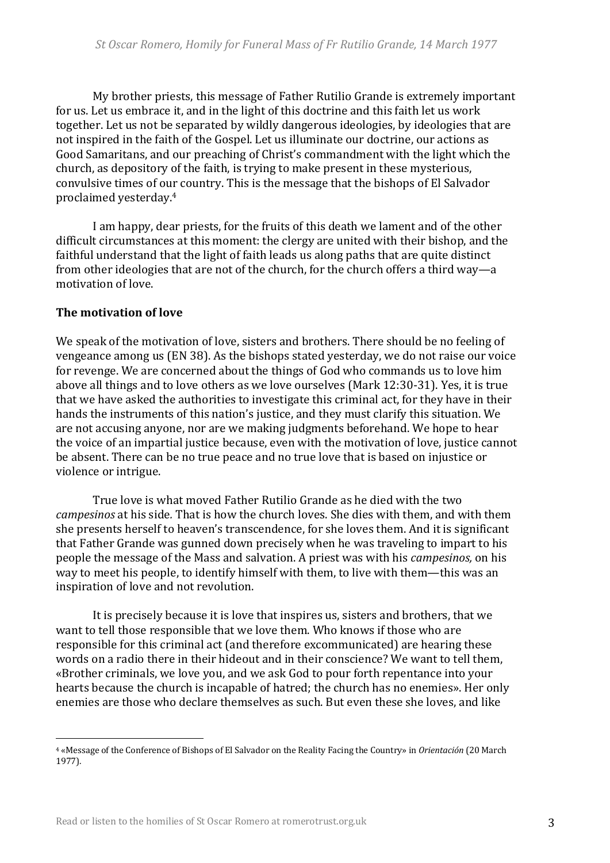My brother priests, this message of Father Rutilio Grande is extremely important for us. Let us embrace it, and in the light of this doctrine and this faith let us work together. Let us not be separated by wildly dangerous ideologies, by ideologies that are not inspired in the faith of the Gospel. Let us illuminate our doctrine, our actions as Good Samaritans, and our preaching of Christ's commandment with the light which the church, as depository of the faith, is trying to make present in these mysterious, convulsive times of our country. This is the message that the bishops of El Salvador proclaimed yesterday.<sup>4</sup>

I am happy, dear priests, for the fruits of this death we lament and of the other difficult circumstances at this moment: the clergy are united with their bishop, and the faithful understand that the light of faith leads us along paths that are quite distinct from other ideologies that are not of the church, for the church offers a third way—a motivation of love.

#### **The motivation of love**

 $\overline{a}$ 

We speak of the motivation of love, sisters and brothers. There should be no feeling of vengeance among us (EN 38). As the bishops stated vesterday, we do not raise our voice for revenge. We are concerned about the things of God who commands us to love him above all things and to love others as we love ourselves (Mark 12:30-31). Yes, it is true that we have asked the authorities to investigate this criminal act, for they have in their hands the instruments of this nation's justice, and they must clarify this situation. We are not accusing anyone, nor are we making judgments beforehand. We hope to hear the voice of an impartial justice because, even with the motivation of love, justice cannot be absent. There can be no true peace and no true love that is based on injustice or violence or intrigue.

True love is what moved Father Rutilio Grande as he died with the two *campesinos* at his side. That is how the church loves. She dies with them, and with them she presents herself to heaven's transcendence, for she loves them. And it is significant that Father Grande was gunned down precisely when he was traveling to impart to his people the message of the Mass and salvation. A priest was with his *campesinos,* on his way to meet his people, to identify himself with them, to live with them—this was an inspiration of love and not revolution.

It is precisely because it is love that inspires us, sisters and brothers, that we want to tell those responsible that we love them. Who knows if those who are responsible for this criminal act (and therefore excommunicated) are hearing these words on a radio there in their hideout and in their conscience? We want to tell them, «Brother criminals, we love you, and we ask God to pour forth repentance into your hearts because the church is incapable of hatred; the church has no enemies». Her only enemies are those who declare themselves as such. But even these she loves, and like

<sup>&</sup>lt;sup>4</sup> «Message of the Conference of Bishops of El Salvador on the Reality Facing the Country» in *Orientación* (20 March) 1977)*.*